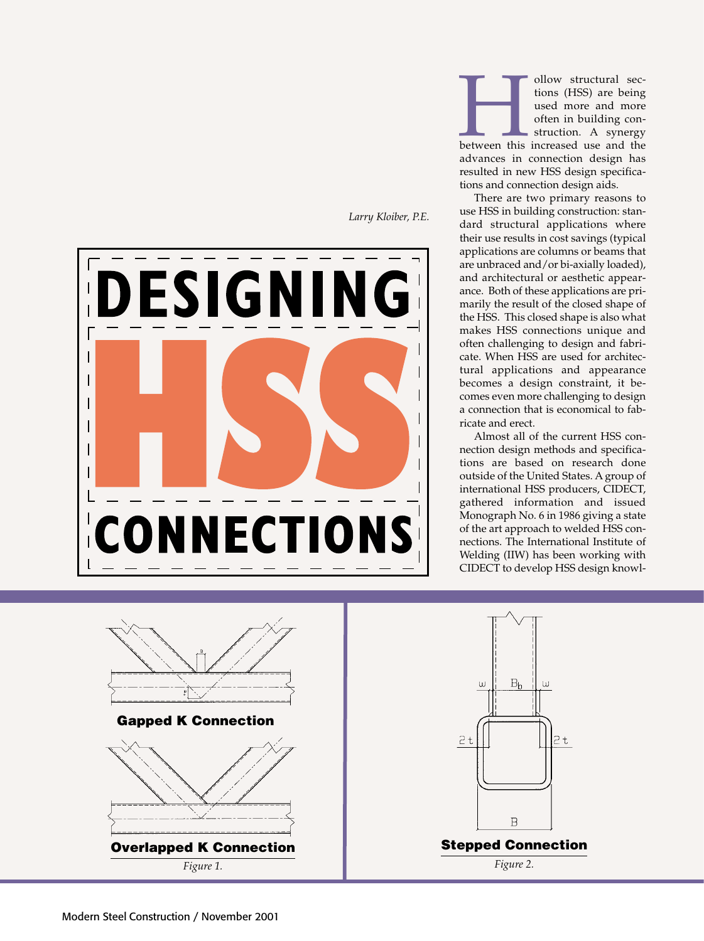

*Larry Kloiber, P.E.*

Follow structural sections (HSS) are being<br>used more and more<br>often in building con-<br>struction. A synergy<br>between this increased use and the<br>advances in connection design has tions (HSS) are being used more and more often in building construction. A synergy

advances in connection design has resulted in new HSS design specifications and connection design aids.

There are two primary reasons to use HSS in building construction: standard structural applications where their use results in cost savings (typical applications are columns or beams that are unbraced and/or bi-axially loaded), and architectural or aesthetic appearance. Both of these applications are primarily the result of the closed shape of the HSS. This closed shape is also what makes HSS connections unique and often challenging to design and fabricate. When HSS are used for architectural applications and appearance becomes a design constraint, it becomes even more challenging to design a connection that is economical to fabricate and erect.

Almost all of the current HSS connection design methods and specifications are based on research done outside of the United States. A group of international HSS producers, CIDECT, gathered information and issued Monograph No. 6 in 1986 giving a state of the art approach to welded HSS connections. The International Institute of Welding (IIW) has been working with CIDECT to develop HSS design knowl-



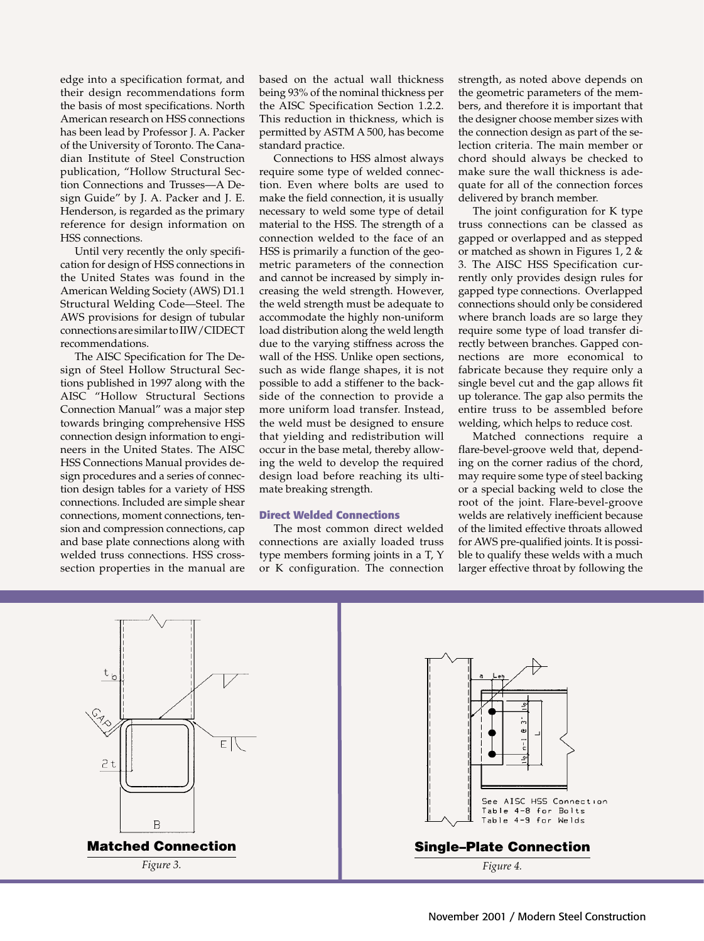edge into a specification format, and their design recommendations form the basis of most specifications. North American research on HSS connections has been lead by Professor J. A. Packer of the University of Toronto. The Canadian Institute of Steel Construction publication, "Hollow Structural Section Connections and Trusses—A Design Guide" by J. A. Packer and J. E. Henderson, is regarded as the primary reference for design information on HSS connections.

Until very recently the only specification for design of HSS connections in the United States was found in the American Welding Society (AWS) D1.1 Structural Welding Code—Steel. The AWS provisions for design of tubular connections are similar to IIW/CIDECT recommendations.

The AISC Specification for The Design of Steel Hollow Structural Sections published in 1997 along with the AISC "Hollow Structural Sections Connection Manual" was a major step towards bringing comprehensive HSS connection design information to engineers in the United States. The AISC HSS Connections Manual provides design procedures and a series of connection design tables for a variety of HSS connections. Included are simple shear connections, moment connections, tension and compression connections, cap and base plate connections along with welded truss connections. HSS crosssection properties in the manual are based on the actual wall thickness being 93% of the nominal thickness per the AISC Specification Section 1.2.2. This reduction in thickness, which is permitted by ASTM A 500, has become standard practice.

Connections to HSS almost always require some type of welded connection. Even where bolts are used to make the field connection, it is usually necessary to weld some type of detail material to the HSS. The strength of a connection welded to the face of an HSS is primarily a function of the geometric parameters of the connection and cannot be increased by simply increasing the weld strength. However, the weld strength must be adequate to accommodate the highly non-uniform load distribution along the weld length due to the varying stiffness across the wall of the HSS. Unlike open sections, such as wide flange shapes, it is not possible to add a stiffener to the backside of the connection to provide a more uniform load transfer. Instead, the weld must be designed to ensure that yielding and redistribution will occur in the base metal, thereby allowing the weld to develop the required design load before reaching its ultimate breaking strength.

### **Direct Welded Connections**

The most common direct welded connections are axially loaded truss type members forming joints in a T, Y or K configuration. The connection

strength, as noted above depends on the geometric parameters of the members, and therefore it is important that the designer choose member sizes with the connection design as part of the selection criteria. The main member or chord should always be checked to make sure the wall thickness is adequate for all of the connection forces delivered by branch member.

The joint configuration for K type truss connections can be classed as gapped or overlapped and as stepped or matched as shown in Figures 1, 2 & 3. The AISC HSS Specification currently only provides design rules for gapped type connections. Overlapped connections should only be considered where branch loads are so large they require some type of load transfer directly between branches. Gapped connections are more economical to fabricate because they require only a single bevel cut and the gap allows fit up tolerance. The gap also permits the entire truss to be assembled before welding, which helps to reduce cost.

Matched connections require a flare-bevel-groove weld that, depending on the corner radius of the chord, may require some type of steel backing or a special backing weld to close the root of the joint. Flare-bevel-groove welds are relatively inefficient because of the limited effective throats allowed for AWS pre-qualified joints. It is possible to qualify these welds with a much larger effective throat by following the



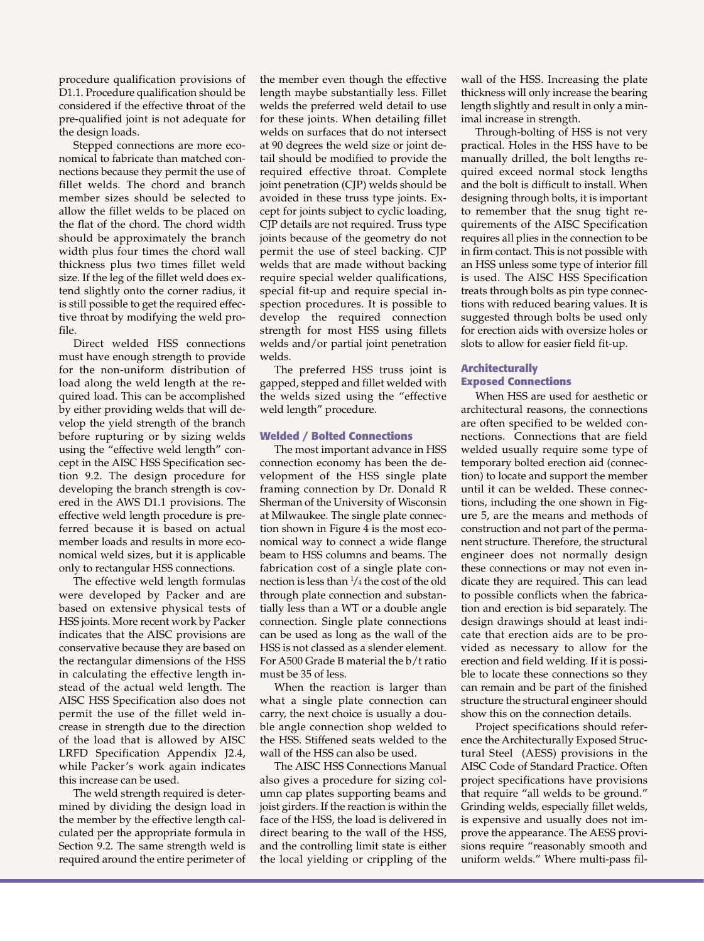procedure qualification provisions of D1.1. Procedure qualification should be considered if the effective throat of the pre-qualified joint is not adequate for the design loads.

Stepped connections are more economical to fabricate than matched connections because they permit the use of fillet welds. The chord and branch member sizes should be selected to allow the fillet welds to be placed on the flat of the chord. The chord width should be approximately the branch width plus four times the chord wall thickness plus two times fillet weld size. If the leg of the fillet weld does extend slightly onto the corner radius, it is still possible to get the required effective throat by modifying the weld profile.

Direct welded HSS connections must have enough strength to provide for the non-uniform distribution of load along the weld length at the required load. This can be accomplished by either providing welds that will develop the yield strength of the branch before rupturing or by sizing welds using the "effective weld length" concept in the AISC HSS Specification section 9.2. The design procedure for developing the branch strength is covered in the AWS D1.1 provisions. The effective weld length procedure is preferred because it is based on actual member loads and results in more economical weld sizes, but it is applicable only to rectangular HSS connections.

The effective weld length formulas were developed by Packer and are based on extensive physical tests of HSS joints. More recent work by Packer indicates that the AISC provisions are conservative because they are based on the rectangular dimensions of the HSS in calculating the effective length instead of the actual weld length. The AISC HSS Specification also does not permit the use of the fillet weld increase in strength due to the direction of the load that is allowed by AISC LRFD Specification Appendix J2.4, while Packer's work again indicates this increase can be used.

The weld strength required is determined by dividing the design load in the member by the effective length calculated per the appropriate formula in Section 9.2. The same strength weld is required around the entire perimeter of

the member even though the effective length maybe substantially less. Fillet welds the preferred weld detail to use for these joints. When detailing fillet welds on surfaces that do not intersect at 90 degrees the weld size or joint detail should be modified to provide the required effective throat. Complete joint penetration (CJP) welds should be avoided in these truss type joints. Except for joints subject to cyclic loading, CJP details are not required. Truss type joints because of the geometry do not permit the use of steel backing. CJP welds that are made without backing require special welder qualifications, special fit-up and require special inspection procedures. It is possible to develop the required connection strength for most HSS using fillets welds and/or partial joint penetration welds.

The preferred HSS truss joint is gapped, stepped and fillet welded with the welds sized using the "effective weld length" procedure.

#### **Welded / Bolted Connections**

The most important advance in HSS connection economy has been the development of the HSS single plate framing connection by Dr. Donald R Sherman of the University of Wisconsin at Milwaukee. The single plate connection shown in Figure 4 is the most economical way to connect a wide flange beam to HSS columns and beams. The fabrication cost of a single plate connection is less than  $\frac{1}{4}$  the cost of the old through plate connection and substantially less than a WT or a double angle connection. Single plate connections can be used as long as the wall of the HSS is not classed as a slender element. For A500 Grade B material the b/t ratio must be 35 of less.

When the reaction is larger than what a single plate connection can carry, the next choice is usually a double angle connection shop welded to the HSS. Stiffened seats welded to the wall of the HSS can also be used.

The AISC HSS Connections Manual also gives a procedure for sizing column cap plates supporting beams and joist girders. If the reaction is within the face of the HSS, the load is delivered in direct bearing to the wall of the HSS, and the controlling limit state is either the local yielding or crippling of the

wall of the HSS. Increasing the plate thickness will only increase the bearing length slightly and result in only a minimal increase in strength.

Through-bolting of HSS is not very practical. Holes in the HSS have to be manually drilled, the bolt lengths required exceed normal stock lengths and the bolt is difficult to install. When designing through bolts, it is important to remember that the snug tight requirements of the AISC Specification requires all plies in the connection to be in firm contact. This is not possible with an HSS unless some type of interior fill is used. The AISC HSS Specification treats through bolts as pin type connections with reduced bearing values. It is suggested through bolts be used only for erection aids with oversize holes or slots to allow for easier field fit-up.

## **Architecturally Exposed Connections**

When HSS are used for aesthetic or architectural reasons, the connections are often specified to be welded connections. Connections that are field welded usually require some type of temporary bolted erection aid (connection) to locate and support the member until it can be welded. These connections, including the one shown in Figure 5, are the means and methods of construction and not part of the permanent structure. Therefore, the structural engineer does not normally design these connections or may not even indicate they are required. This can lead to possible conflicts when the fabrication and erection is bid separately. The design drawings should at least indicate that erection aids are to be provided as necessary to allow for the erection and field welding. If it is possible to locate these connections so they can remain and be part of the finished structure the structural engineer should show this on the connection details.

Project specifications should reference the Architecturally Exposed Structural Steel (AESS) provisions in the AISC Code of Standard Practice. Often project specifications have provisions that require "all welds to be ground." Grinding welds, especially fillet welds, is expensive and usually does not improve the appearance. The AESS provisions require "reasonably smooth and uniform welds." Where multi-pass fil-